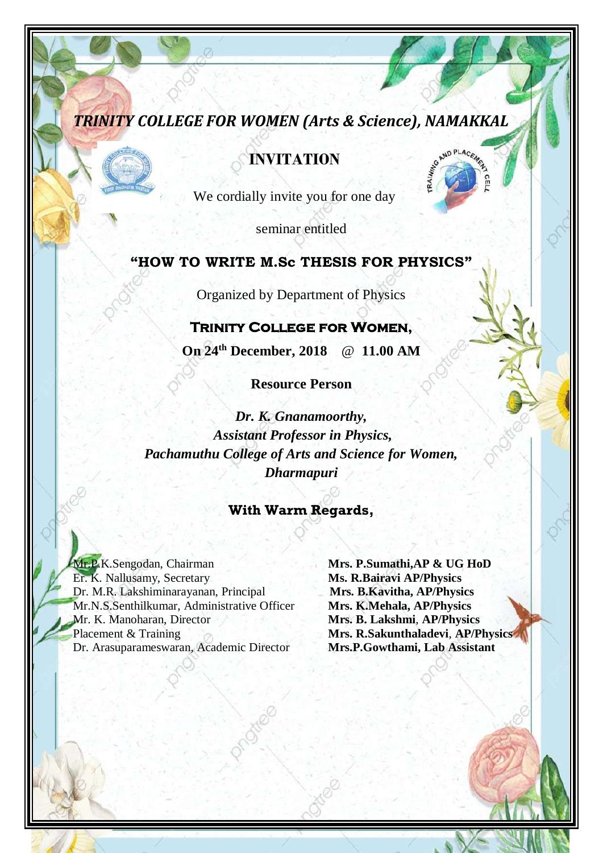## *TRINITY COLLEGE FOR WOMEN (Arts & Science), NAMAKKAL*

## **INVITATION**

We cordially invite you for one day

seminar entitled

## **"HOW TO WRITE M.Sc THESIS FOR PHYSICS"**

Organized by Department of Physics

### **Trinity College for Women,**

**On 24th December, 2018** @ **11.00 AM**

**Resource Person**

*Dr. K. Gnanamoorthy, Assistant Professor in Physics, Pachamuthu College of Arts and Science for Women, Dharmapuri* 

## **With Warm Regards,**

Mr.P.K.Sengodan, Chairman **Mrs. P.Sumathi,AP & UG HoD** Er. K. Nallusamy, Secretary **Ms. R.Bairavi AP/Physics** Dr. M.R. Lakshiminarayanan, Principal **Mrs. B.Kavitha, AP/Physics** Mr.N.S.Senthilkumar, Administrative Officer **Mrs. K.Mehala, AP/Physics** Mr. K. Manoharan, Director **Mrs. B. Lakshmi**, **AP/Physics** Placement & Training **Mrs. R.Sakunthaladevi**, **AP/Physics** Dr. Arasuparameswaran, Academic Director **Mrs.P.Gowthami, Lab Assistant**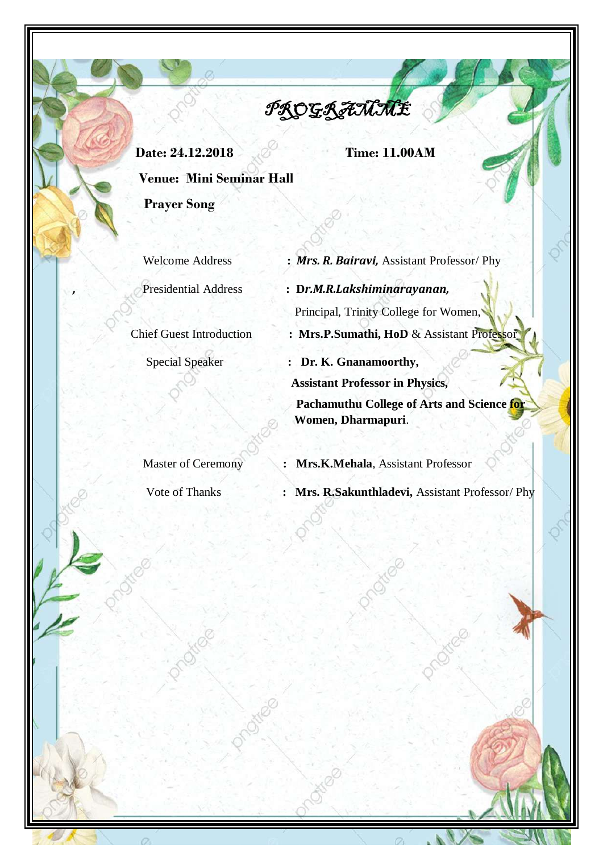PROGRAMME

**Date: 24.12.2018 Time: 11.00AM Venue: Mini Seminar Hall Prayer Song**

Welcome Address **:** *Mrs. R. Bairavi,* Assistant Professor/ Phy

*,* Presidential Address **: D***r.M.R.Lakshiminarayanan,* Principal, Trinity College for Women, Chief Guest Introduction **: Mrs.P.Sumathi, HoD** & Assistant Professor Special Speaker **: Dr. K. Gnanamoorthy, Assistant Professor in Physics,** 

> **Pachamuthu College of Arts and Science for Women, Dharmapuri**.

Master of Ceremony **: Mrs.K.Mehala**, Assistant Professor

Vote of Thanks **: Mrs. R.Sakunthladevi,** Assistant Professor/ Phy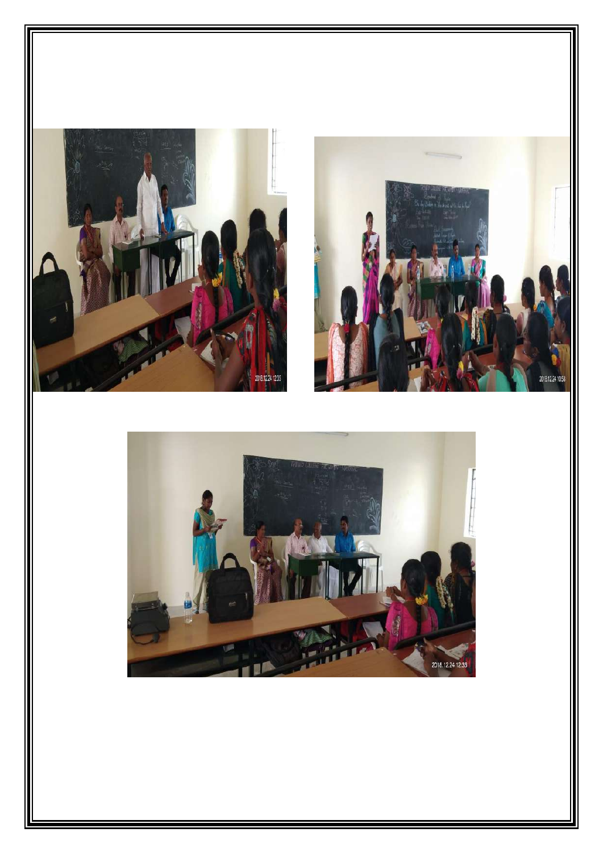



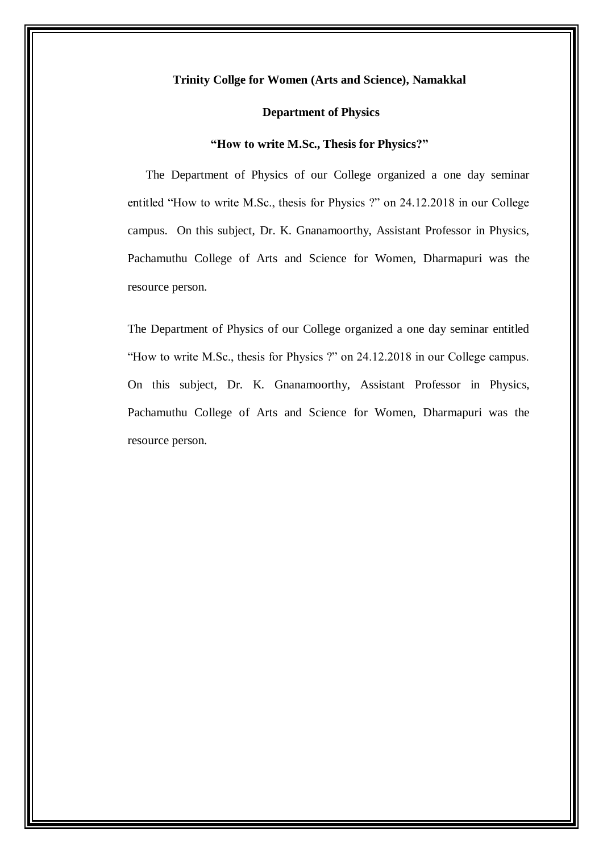#### **Trinity Collge for Women (Arts and Science), Namakkal**

#### **Department of Physics**

#### **"How to write M.Sc., Thesis for Physics?"**

The Department of Physics of our College organized a one day seminar entitled "How to write M.Sc., thesis for Physics ?" on 24.12.2018 in our College campus. On this subject, Dr. K. Gnanamoorthy, Assistant Professor in Physics, Pachamuthu College of Arts and Science for Women, Dharmapuri was the resource person.

The Department of Physics of our College organized a one day seminar entitled "How to write M.Sc., thesis for Physics ?" on 24.12.2018 in our College campus. On this subject, Dr. K. Gnanamoorthy, Assistant Professor in Physics, Pachamuthu College of Arts and Science for Women, Dharmapuri was the resource person.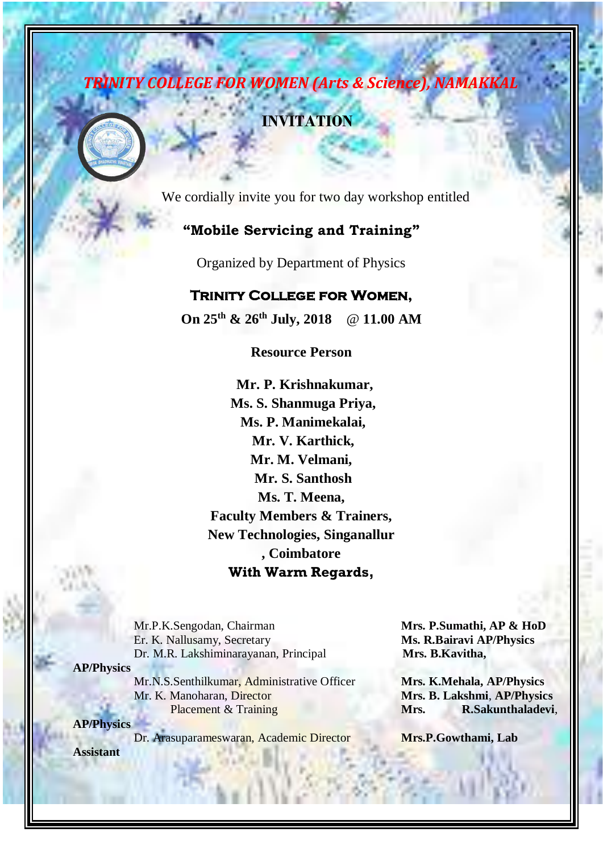# *TRINITY COLLEGE FOR WOMEN (Arts & Science), NAMAKKAL*

 **INVITATION**



We cordially invite you for two day workshop entitled

## **"Mobile Servicing and Training"**

Organized by Department of Physics

#### **Trinity College for Women,**

**On 25th & 26th July, 2018** @ **11.00 AM**

**Resource Person**

**Mr. P. Krishnakumar, Ms. S. Shanmuga Priya, Ms. P. Manimekalai, Mr. V. Karthick, Mr. M. Velmani, Mr. S. Santhosh Ms. T. Meena, Faculty Members & Trainers, New Technologies, Singanallur , Coimbatore With Warm Regards,**

 Mr.P.K.Sengodan, Chairman **Mrs. P.Sumathi, AP & HoD** Er. K. Nallusamy, Secretary **Ms. R.Bairavi AP/Physics** Dr. M.R. Lakshiminarayanan, Principal **Mrs. B.Kavitha,** 

#### **AP/Physics**

 Mr.N.S.Senthilkumar, Administrative Officer **Mrs. K.Mehala, AP/Physics** Mr. K. Manoharan, Director **Mrs. B. Lakshmi**, **AP/Physics** Placement & Training **Mrs.** R.Sakunthaladevi,

#### **AP/Physics**

**Assistant**

Dr. Arasuparameswaran, Academic Director **Mrs.P.Gowthami, Lab**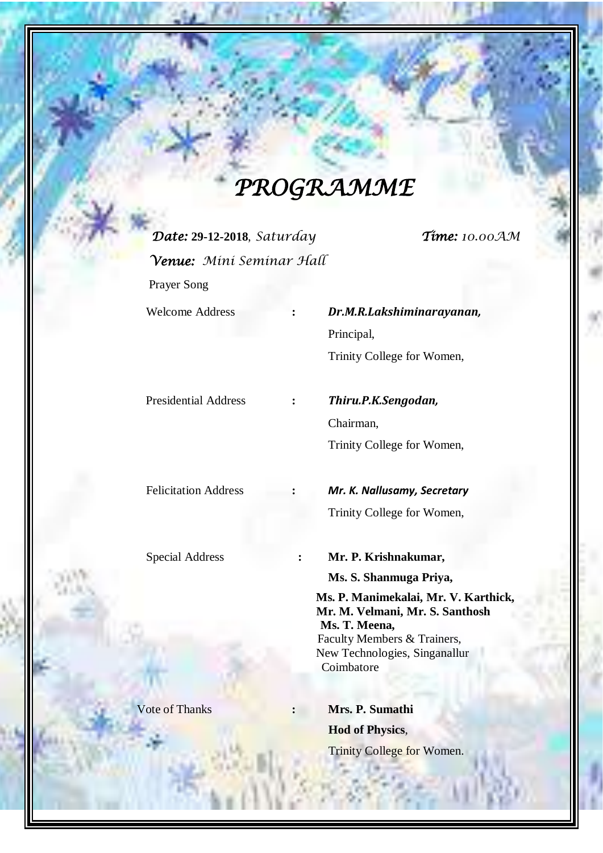## *PROGRAMME*

 *Date:* **29-12-2018**, *Saturday Time: 10.00AM Venue: Mini Seminar Hall* Prayer Song Welcome Address **:** *Dr.M.R.Lakshiminarayanan,* Principal, Trinity College for Women, Presidential Address **:** *Thiru.P.K.Sengodan,* Felicitation Address **:** *Mr. K. Nallusamy, Secretary*

 Chairman, Trinity College for Women,

Trinity College for Women,

 Special Address **: Mr. P. Krishnakumar, Ms. S. Shanmuga Priya,**

> **Ms. P. Manimekalai, Mr. V. Karthick, Mr. M. Velmani, Mr. S. Santhosh Ms. T. Meena,**  Faculty Members & Trainers, New Technologies, Singanallur Coimbatore

 Vote of Thanks **: Mrs. P. Sumathi Hod of Physics**, **Trinity College for Women.**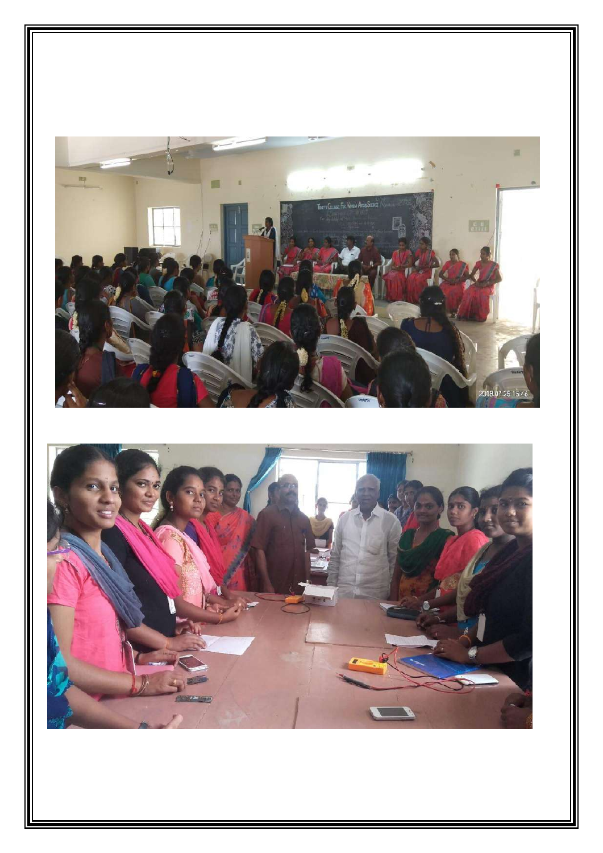

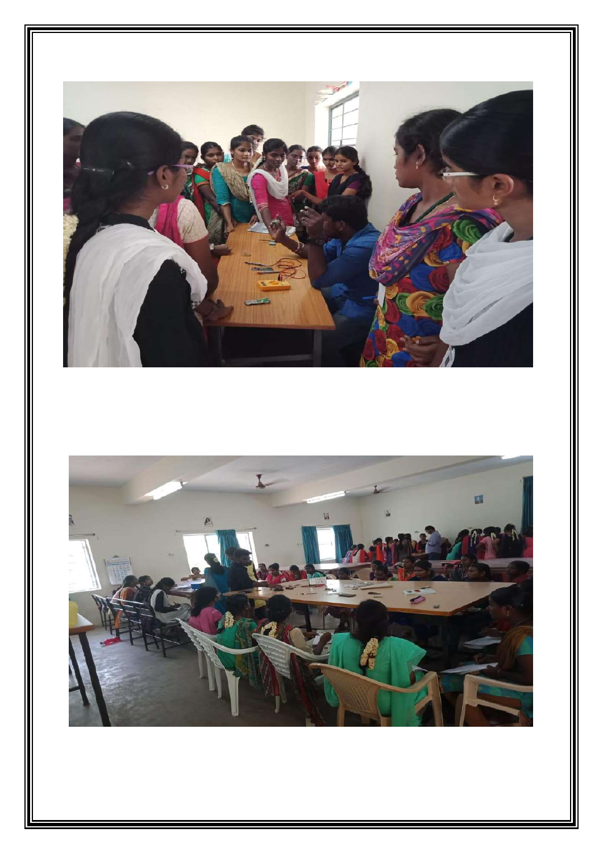

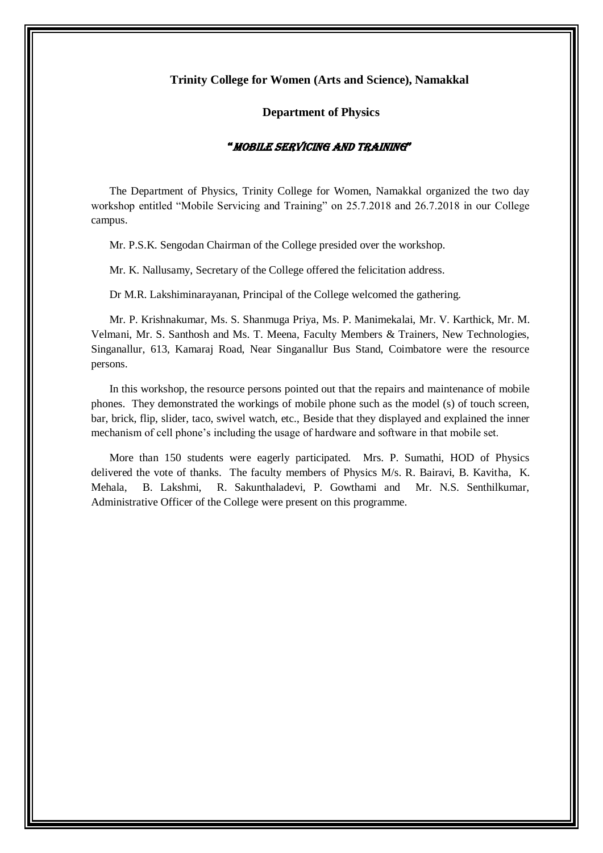#### **Trinity College for Women (Arts and Science), Namakkal**

#### **Department of Physics**

#### "Mobile Servicing and Training"

The Department of Physics, Trinity College for Women, Namakkal organized the two day workshop entitled "Mobile Servicing and Training" on 25.7.2018 and 26.7.2018 in our College campus.

Mr. P.S.K. Sengodan Chairman of the College presided over the workshop.

Mr. K. Nallusamy, Secretary of the College offered the felicitation address.

Dr M.R. Lakshiminarayanan, Principal of the College welcomed the gathering.

Mr. P. Krishnakumar, Ms. S. Shanmuga Priya, Ms. P. Manimekalai, Mr. V. Karthick, Mr. M. Velmani, Mr. S. Santhosh and Ms. T. Meena, Faculty Members & Trainers, New Technologies, Singanallur, 613, Kamaraj Road, Near Singanallur Bus Stand, Coimbatore were the resource persons.

In this workshop, the resource persons pointed out that the repairs and maintenance of mobile phones. They demonstrated the workings of mobile phone such as the model (s) of touch screen, bar, brick, flip, slider, taco, swivel watch, etc., Beside that they displayed and explained the inner mechanism of cell phone's including the usage of hardware and software in that mobile set.

More than 150 students were eagerly participated. Mrs. P. Sumathi, HOD of Physics delivered the vote of thanks. The faculty members of Physics M/s. R. Bairavi, B. Kavitha, K. Mehala, B. Lakshmi, R. Sakunthaladevi, P. Gowthami and Mr. N.S. Senthilkumar, Administrative Officer of the College were present on this programme.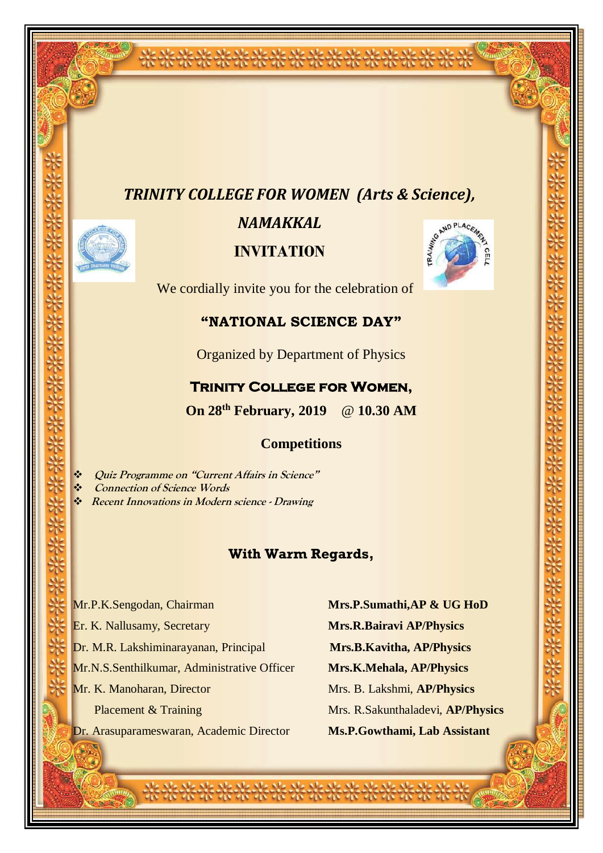## *TRINITY COLLEGE FOR WOMEN (Arts & Science),*



*NAMAKKAL*

**INVITATION**



We cordially invite you for the celebration of

## **"NATIONAL SCIENCE DAY"**

Organized by Department of Physics

## **Trinity College for Women,**

**On 28th February, 2019** @ **10.30 AM**

## **Competitions**

**Quiz Programme on "Current Affairs in Science"**

*Connection of Science Words* 

**Recent Innovations in Modern science - Drawing**

## **With Warm Regards,**

**Mr.P.K.Sengodan, Chairman Mrs.P.Sumathi,AP & UG HoD** 

Dr. M.R. Lakshiminarayanan, Principal **Mrs.B.Kavitha, AP/Physics**

Mr.N.S.Senthilkumar, Administrative Officer **Mrs.K.Mehala, AP/Physics**

Dr. Arasuparameswaran, Academic Director **Ms.P.Gowthami, Lab Assistant**

Er. K. Nallusamy, Secretary **Mrs.R.Bairavi AP/Physics** Mr. K. Manoharan, Director Mrs. B. Lakshmi, **AP/Physics** Placement & Training Mrs. R.Sakunthaladevi, **AP/Physics**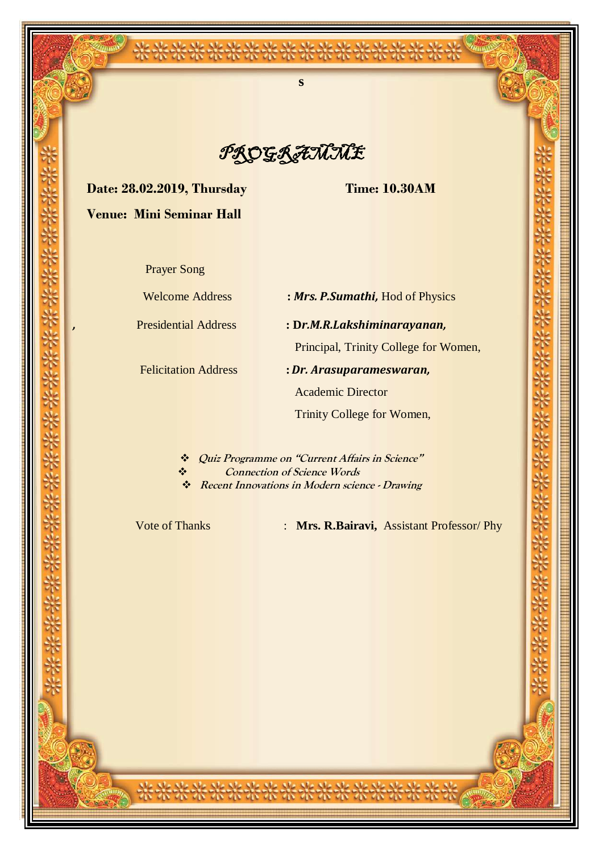

**s**

## **Date: 28.02.2019, Thursday** Time: 10.30AM

 **Venue: Mini Seminar Hall**

Prayer Song

Welcome Address **:** *Mrs. P.Sumathi,* Hod of Physics

*,* Presidential Address **: D***r.M.R.Lakshiminarayanan,* Principal, Trinity College for Women,

Felicitation Address **:***Dr. Arasuparameswaran,*

Academic Director Trinity College for Women,

**Quiz Programme on "Current Affairs in Science"**

**Example 3 Connection of Science Words** 

**Recent Innovations in Modern science - Drawing**

Vote of Thanks : **Mrs. R.Bairavi,** Assistant Professor/ Phy

不米米米米米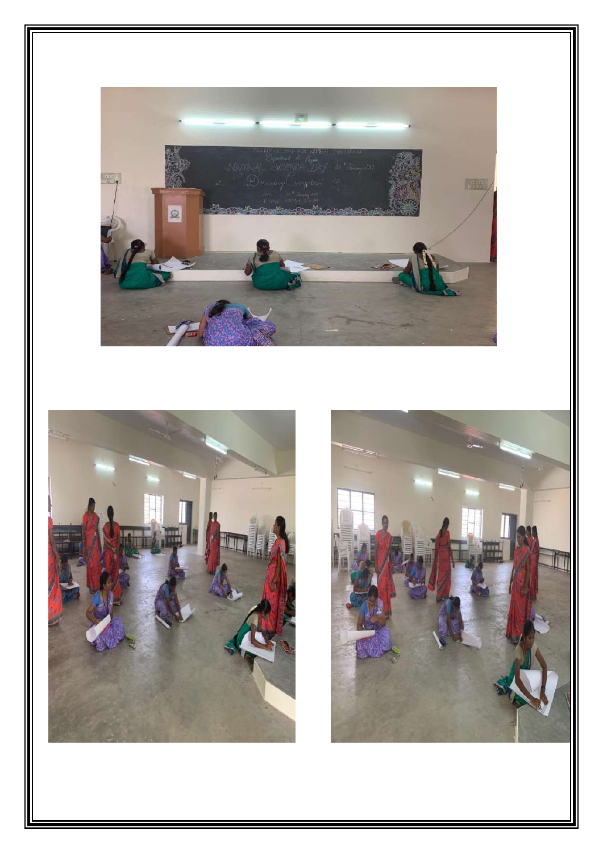